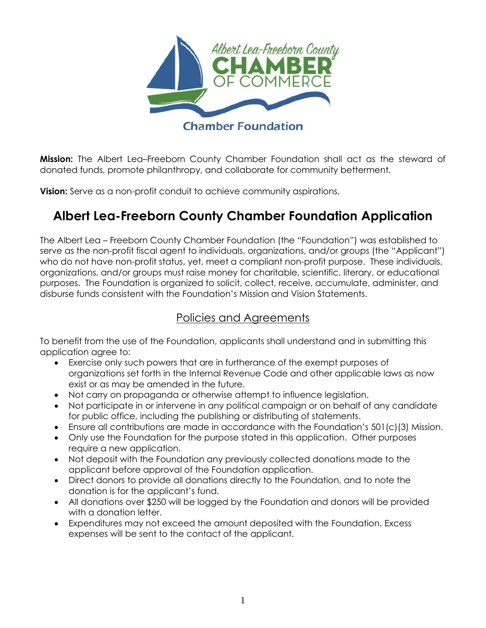

**Mission:** The Albert Lea–Freeborn County Chamber Foundation shall act as the steward of donated funds, promote philanthropy, and collaborate for community betterment.

**Vision:** Serve as a non-profit conduit to achieve community aspirations.

# **Albert Lea-Freeborn County Chamber Foundation Application**

The Albert Lea – Freeborn County Chamber Foundation (the "Foundation") was established to serve as the non-profit fiscal agent to individuals, organizations, and/or groups (the "Applicant") who do not have non-profit status, yet, meet a compliant non-profit purpose. These individuals, organizations, and/or groups must raise money for charitable, scientific, literary, or educational purposes. The Foundation is organized to solicit, collect, receive, accumulate, administer, and disburse funds consistent with the Foundation's Mission and Vision Statements.

## Policies and Agreements

To benefit from the use of the Foundation, applicants shall understand and in submitting this application agree to:

- Exercise only such powers that are in furtherance of the exempt purposes of organizations set forth in the Internal Revenue Code and other applicable laws as now exist or as may be amended in the future.
- Not carry on propaganda or otherwise attempt to influence legislation.
- Not participate in or intervene in any political campaign or on behalf of any candidate for public office, including the publishing or distributing of statements.
- Ensure all contributions are made in accordance with the Foundation's 501(c)(3) Mission.
- Only use the Foundation for the purpose stated in this application. Other purposes require a new application.
- Not deposit with the Foundation any previously collected donations made to the applicant before approval of the Foundation application.
- Direct donors to provide all donations directly to the Foundation, and to note the donation is for the applicant's fund.
- All donations over \$250 will be logged by the Foundation and donors will be provided with a donation letter.
- Expenditures may not exceed the amount deposited with the Foundation. Excess expenses will be sent to the contact of the applicant.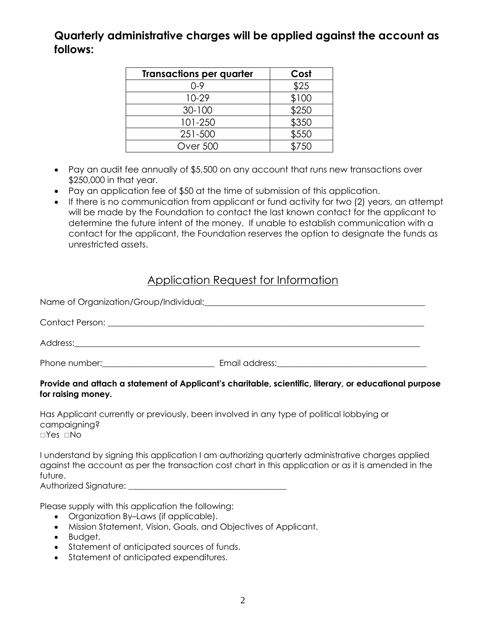## **Quarterly administrative charges will be applied against the account as follows:**

| <b>Transactions per quarter</b> | Cost  |
|---------------------------------|-------|
| 0-9                             | \$25  |
| $10-29$                         | \$100 |
| 30-100                          | \$250 |
| 101-250                         | \$350 |
| 251-500                         | \$550 |
| <b>Over 500</b>                 |       |

- Pay an audit fee annually of \$5,500 on any account that runs new transactions over \$250,000 in that year.
- Pay an application fee of \$50 at the time of submission of this application.
- If there is no communication from applicant or fund activity for two (2) years, an attempt will be made by the Foundation to contact the last known contact for the applicant to determine the future intent of the money. If unable to establish communication with a contact for the applicant, the Foundation reserves the option to designate the funds as unrestricted assets.

#### Application Request for Information

|  | Email address: <u>contract and a series of the series of the series of the series of the series of the series of the series of the series of the series of the series of the series of the series of the series of the series of</u> |  |  |
|--|--------------------------------------------------------------------------------------------------------------------------------------------------------------------------------------------------------------------------------------|--|--|

#### **Provide and attach a statement of Applicant's charitable, scientific, literary, or educational purpose for raising money.**

Has Applicant currently or previously, been involved in any type of political lobbying or campaigning?  $\Box$ Yes  $\Box$ No

I understand by signing this application I am authorizing quarterly administrative charges applied against the account as per the transaction cost chart in this application or as it is amended in the future. Authorized Signature: **Example 2018** 

Please supply with this application the following:

- Organization By–Laws (if applicable).
- Mission Statement, Vision, Goals, and Objectives of Applicant.
- Budget.
- Statement of anticipated sources of funds.
- Statement of anticipated expenditures.